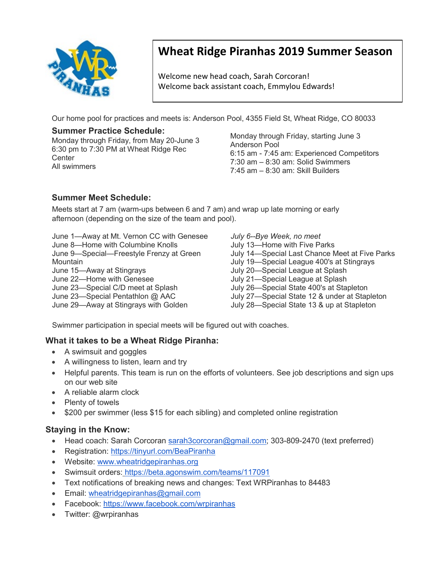

# **Wheat Ridge Piranhas 2019 Summer Season**

Welcome new head coach, Sarah Corcoran! Welcome back assistant coach, Emmylou Edwards!

Our home pool for practices and meets is: Anderson Pool, 4355 Field St, Wheat Ridge, CO 80033

# **Summer Practice Schedule:**

Monday through Friday, from May 20-June 3 6:30 pm to 7:30 PM at Wheat Ridge Rec **Center** All swimmers

Monday through Friday, starting June 3 Anderson Pool 6:15 am - 7:45 am: Experienced Competitors 7:30 am – 8:30 am: Solid Swimmers 7:45 am – 8:30 am: Skill Builders

# **Summer Meet Schedule:**

Meets start at 7 am (warm-ups between 6 and 7 am) and wrap up late morning or early afternoon (depending on the size of the team and pool).

June 1—Away at Mt. Vernon CC with Genesee

June 8—Home with Columbine Knolls

June 9—Special—Freestyle Frenzy at Green

Mountain

June 15—Away at Stingrays

June 22—Home with Genesee

June 23—Special C/D meet at Splash

June 23—Special Pentathlon @ AAC

June 29—Away at Stingrays with Golden

*July 6--Bye Week, no meet* July 13—Home with Five Parks July 14—Special Last Chance Meet at Five Parks July 19—Special League 400's at Stingrays July 20—Special League at Splash July 21—Special League at Splash July 26—Special State 400's at Stapleton July 27—Special State 12 & under at Stapleton July 28—Special State 13 & up at Stapleton

Swimmer participation in special meets will be figured out with coaches.

#### **What it takes to be a Wheat Ridge Piranha:**

- A swimsuit and goggles
- A willingness to listen, learn and try
- Helpful parents. This team is run on the efforts of volunteers. See job descriptions and sign ups on our web site
- A reliable alarm clock
- Plenty of towels
- \$200 per swimmer (less \$15 for each sibling) and completed online registration

#### **Staying in the Know:**

- Head coach: Sarah Corcoran [sarah3corcoran@gmail.com;](mailto:sarah3corcoran@gmail.com) 303-809-2470 (text preferred)
- Registration:<https://tinyurl.com/BeaPiranha>
- Website: [www.wheatridgepiranhas.org](http://www.wheatridgepiranhas.org/)
- Swimsuit orders: <https://beta.agonswim.com/teams/117091>
- Text notifications of breaking news and changes: Text WRPiranhas to 84483
- Email: [wheatridgepiranhas@gmail.com](mailto:wheatridgepiranhas@gmail.com)
- Facebook: [https://www.facebook.com/wrpiranhas](http://www.facebook.com/wrpiranhas)
- Twitter: @wrpiranhas